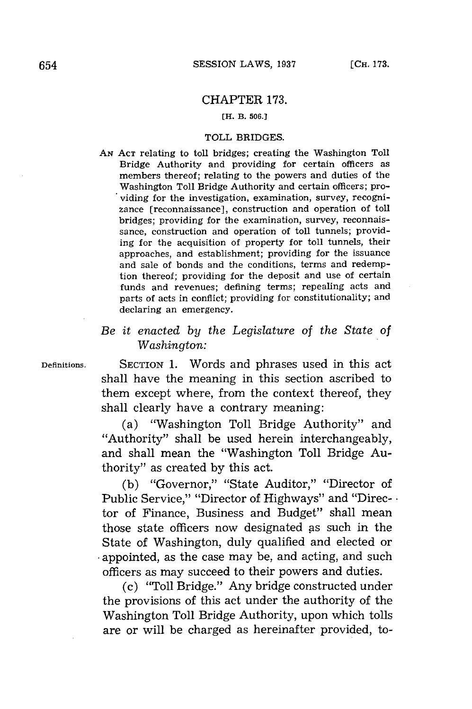## CHAPTER **173.**

## **[H. B. 506.]**

### TOLL BRIDGES.

*AN* **ACT** relating to toll bridges; creating the Washington Toll Bridge Authority and providing for certain officers as members thereof; relating to the powers and duties of the Washington Toll Bridge Authority and certain officers; providing for the investigation, examination, survey, recognizance [reconnaissance], construction and operation of toll bridges; providing for the examination, survey, reconnaissance, construction and operation of toll tunnels; providing for the acquisition of property for toll tunnels, their approaches, and establishment; providing for the issuance and sale of bonds and the conditions, terms and redemption thereof; providing for the deposit and use of certain funds and revenues; defining terms; repealing acts and parts of acts in conflict; providing for constitutionality; and declaring an emergency.

# *Be it enacted by the Legislature* of *the State of Washington:*

**Definitions.** SECTION **1.** Words and phrases used in this act shall have the meaning in this section ascribed to them except where, from the context thereof, they shall clearly have a contrary meaning:

> (a) "Washington Toll Bridge Authority" and "Authority" shall be used herein interchangeably, and shall mean the "Washington Toll Bridge Authority" as created **by** this act.

**(b)** "Governor," "State Auditor," "Director of Public Service," "Director of Highways" and "Direc-  $\cdot$ tor of Finance, Business and Budget" shall mean those state officers now designated as such in the State of Washington, duly qualified and elected or appointed, as the case may be, and acting, and such officers as may succeed to their powers and duties.

(c) "Toll Bridge." Any bridge constructed under the provisions of this act under the authority of the Washington Toll Bridge Authority, upon which tolls are or will be charged as hereinafter provided, to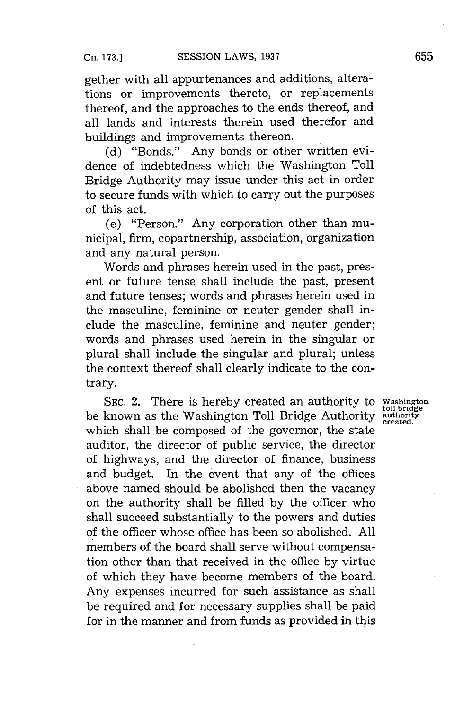gether with all appurtenances and additions, alterations or improvements thereto, or replacements thereof, and the approaches to the ends thereof, and all lands and interests therein used therefor and buildings and improvements thereon.

**(d)** "Bonds." Any bonds or other written evidence of indebtedness which the Washington Toll Bridge Authority may issue under this act in order to secure funds with which to carry out the purposes of this act.

(e) "Person." Any corporation other than municipal, firm, copartnership, association, organization and any natural person.

Words and phrases herein used in the past, present or future tense shall include the past, present and future tenses; words and phrases herein used in the masculine, feminine or neuter gender shall include the masculine, feminine and neuter gender; words and phrases used herein in the singular or plural shall include the singular and plural; unless the context thereof shall clearly indicate to the contrary.

**SEC.** 2. There is hereby created an authority to **Washington** be known as the Washington Toll Bridge Authority **uthority**<br>be known as the Washington Toll Bridge Authority authority which shall be composed of the governor, the state auditor, the director of public service, the director of highways, and the director of finance, business and budget. In the event that any of the offices above named should be abolished then the vacancy on the authority shall be filled **by** the officer who shall succeed substantially to the powers and duties of the officer whose office has been so abolished. **All** members of the board shall serve without compensation other than that received in the office **by** virtue of which they have become members of the board. Any expenses incurred for such assistance as shall be required and for necessary supplies shall be paid for in the manner and from funds as provided in this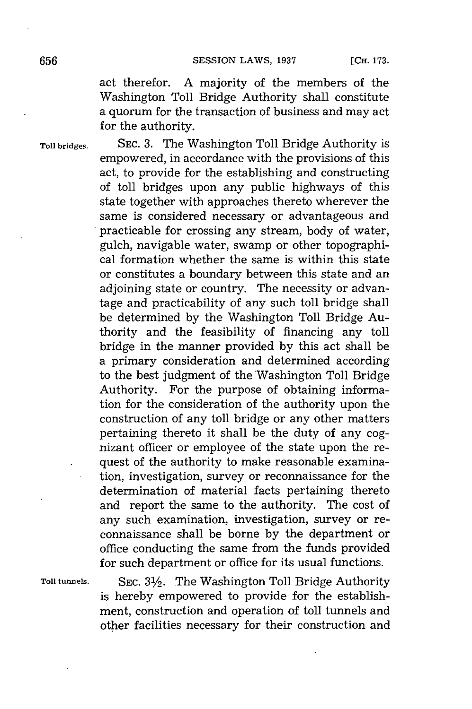act therefor. **A** majority of the members of the Washington Toll Bridge Authority shall constitute a quorum for the transaction of business and may act for the authority.

**Toll bridges. SEC. 3.** The Washington Toll Bridge Authority is empowered, in accordance with the provisions of this act, to provide for the establishing and constructing of toll bridges upon any public highways of this state together with approaches thereto wherever the same is considered necessary or advantageous and practicable for crossing any stream, body of water, gulch, navigable water, swamp or other topographical formation whether the same is within this state or constitutes a boundary between this state and an adjoining state or country. The necessity or advantage and practicability of any such toll bridge shall be determined **by** the Washington Toll Bridge Authority and the feasibility of financing any toll bridge in the manner provided **by** this act shall be a primary consideration and determined according to the best judgment of the Washington Toll Bridge Authority. For the purpose of obtaining information for the consideration of the authority upon the construction of any toll bridge or any other matters pertaining thereto it shall be the duty of any cognizant officer or employee of the state upon the request of the authority to make reasonable examination, investigation, survey or reconnaissance for the determination of material facts pertaining thereto and report the same to the authority. The cost of any such examination, investigation, survey or reconnaissance shall be borne **by** the department or office conducting the same from the funds provided for such department or office for its usual functions.

**Toll tunnels. SEC. 31/2.** The Washington Toll Bridge Authority is hereby empowered to provide for the establishment, construction and operation of toll tunnels and other facilities necessary for their construction and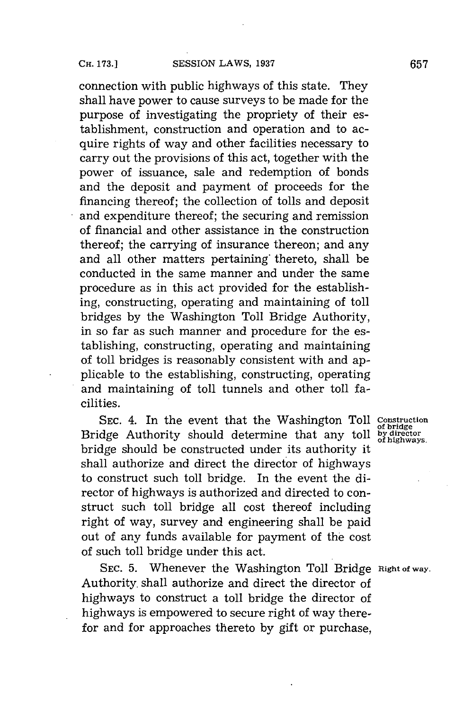connection with public highways of this state. They shall have power to cause surveys to be made for the purpose of investigating the propriety of their establishment, construction and operation and to acquire rights of way and other facilities necessary to carry out the provisions of this act, together with the power of issuance, sale and redemption of bonds and the deposit and payment of proceeds for the financing thereof; the collection of tolls and deposit and expenditure thereof; the securing and remission of financial and other assistance in the construction thereof; the carrying of insurance thereon; and any and all other matters pertaining' thereto, shall be conducted in the same manner and under the same procedure as in this act provided for the establishing, constructing, operating and maintaining of toll bridges **by** the Washington Toll Bridge Authority, in so far as such manner and procedure for the establishing, constructing, operating and maintaining of toll bridges is reasonably consistent with and applicable to the establishing, constructing, operating and maintaining of toll tunnels and other toll facilities.

SEC. 4. In the event that the Washington Toll Construction Bridge Authority should determine that any toll bridge should be constructed under its authority it shall authorize and direct the director of highways to construct such toll bridge. In the event the director of highways is authorized and directed to construct such toll bridge all cost thereof including right of way, survey and engineering shall be paid out of any funds available for payment of the cost of such toll bridge under this act.

SEC. 5. Whenever the Washington Toll Bridge Right of way. Authority. shall authorize and direct the director of highways to construct a toll bridge the director of highways is empowered to secure right of way therefor and for approaches thereto **by** gift or purchase,

of bridge<br>by director<br>of highways.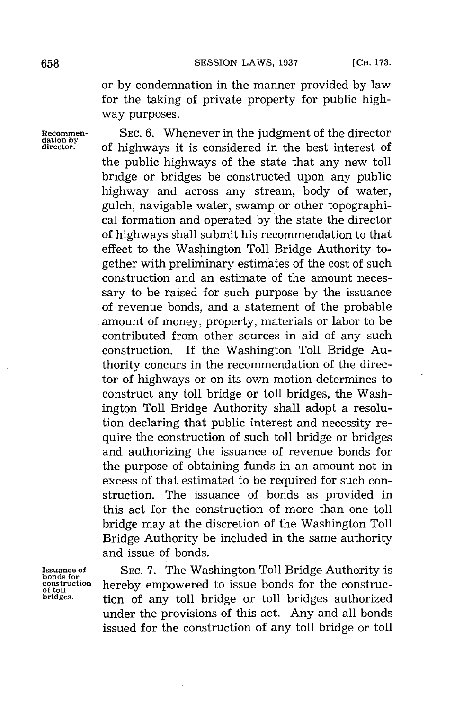or **by** condemnation in the manner provided **by** law for the taking of private property for public highway purposes.

**Recommen- SEC. 6.** Whenever in the judgment of the director **dation by director.** of highways it is considered in the best interest of the public highways of the state that any new toll bridge or bridges be constructed upon any public highway and across any stream, body of water, gulch, navigable water, swamp or other topographical formation and operated **by** the state the director of highways shall submit his recommendation to that effect to the Washington Toll Bridge Authority together with preliminary estimates of the cost of such construction and an estimate of the amount necessary to be raised for such purpose **by** the issuance of revenue bonds, and a statement of the probable amount of money, property, materials or labor to be contributed from other sources in aid of any such construction. If the Washington Toll Bridge Authority concurs in the recommendation of the director of highways or on its own motion determines to construct any toll bridge or toll bridges, the Washington Toll Bridge Authority shall adopt a resolution declaring that public interest and necessity require the construction of such toll bridge or bridges and authorizing the issuance of revenue bonds for the purpose of obtaining funds in an amount not in excess of that estimated to be required **for** such construction. The issuance of bonds as provided in this act for the construction of more than one toll bridge may at the discretion of the Washington Toll Bridge Authority be included in the same authority and issue of bonds.

**bonds for**

**Issuance of SEC. 7.** The Washington Toll Bridge Authority is construction hereby empowered to issue bonds for the construc-<br>ortoil<br>bridges. tion of any toll bridge or toll bridges authorized tion of any toll bridge or toll bridges authorized under the provisions of this act. Any and all bonds issued for the construction of any toll bridge or toll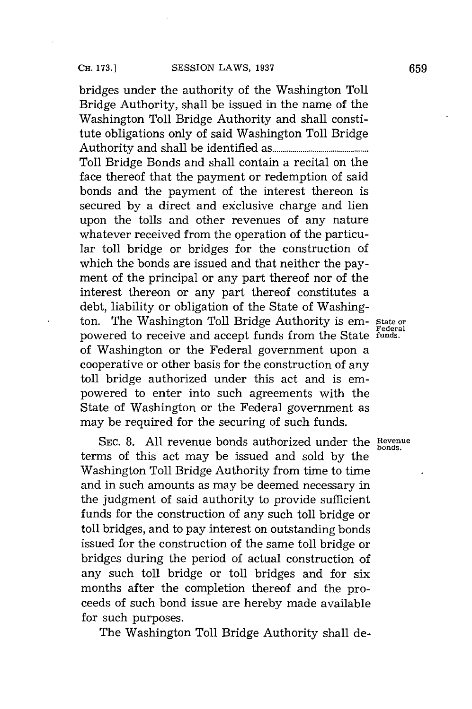bridges under the authority of the Washington Toll Bridge Authority, shall be issued in the name of the Washington Toll Bridge Authority and shall constitute obligations only of said Washington Toll Bridge Authority and shall be identified **as.......................** Toll Bridge Bonds and shall contain a recital on the face thereof that the payment or redemption of said bonds and the payment of the interest thereon is secured **by** a direct and exclusive charge and lien upon the tolls and other revenues of any nature whatever received from the operation of the particular toll bridge or bridges for the construction of which the bonds are issued and that neither the payment of the principal or any part thereof nor of the interest thereon or any part thereof constitutes a debt, liability or obligation of the State of Washington. The Washington Toll Bridge Authority is em- State or powered to receive and accept funds from the State **funds.** of Washington or the Federal government upon a cooperative or other basis for the construction of any toll bridge authorized under this act and is empowered to enter into such agreements with the State of Washington or the Federal government as may be required for the securing of such funds.

SEC. 8. All revenue bonds authorized under the **Revenue** terms of this act may be issued and sold **by** the Washington Toll Bridge Authority from time to time and in such amounts as may be deemed necessary in the judgment of said authority to provide sufficient funds for the construction of any such toll bridge or toll bridges, and to pay interest on outstanding bonds issued for the construction of the same toll bridge or bridges during the period of actual construction of any such toll bridge or toll bridges and for six months after the completion thereof and the proceeds of such bond issue are hereby made available for such purposes.

The Washington Toll Bridge Authority shall de-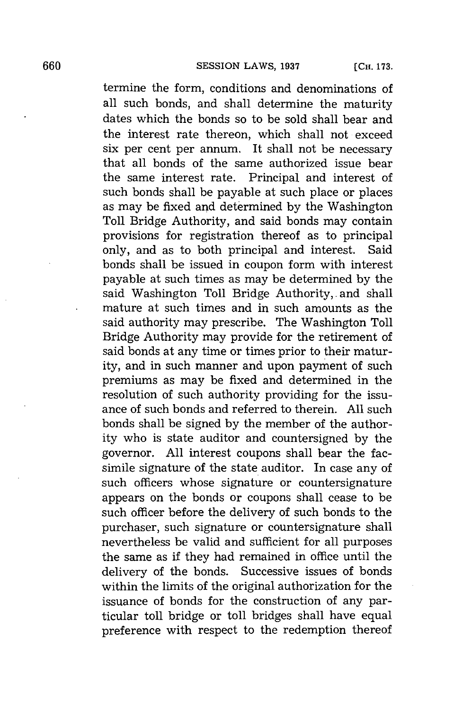termine the form, conditions and denominations of all such bonds, and shall determine the maturity dates which the bonds so to be sold shall bear and the interest rate thereon, which shall not exceed six per cent per annum. It shall not be necessary that all bonds of the same authorized issue bear the same interest rate. Principal and interest of such bonds shall be payable at such place or places as may be fixed and determined **by** the Washington Toll Bridge Authority, and said bonds may contain provisions for registration thereof as to principal only, and as to both principal and interest. Said bonds shall be issued in coupon form with interest payable at such times as may be determined **by** the said Washington Toll Bridge Authority,. and shall mature at such times and in such amounts as the said authority may prescribe. The Washington Toll Bridge Authority may provide for the retirement of said bonds at any time or times prior to their maturity, and in such manner and upon payment of such premiums as may be fixed and determined in the resolution of such authority providing for the issuance of such bonds and referred to therein. **All** such bonds shall be signed **by** the member of the authority who is state auditor and countersigned **by** the governor. **All** interest coupons shall bear the facsimile signature of the state auditor. In case any of such officers whose signature or countersignature appears on the bonds or coupons shall cease to be such officer before the delivery of such bonds to the purchaser, such signature or countersignature shall nevertheless be valid and sufficient for all purposes the same as if they had remained in office until the delivery of the bonds. Successive issues of bonds within the limits of the original authorization for the issuance of bonds for the construction of any particular toll bridge or toll bridges shall have equal preference with respect to the redemption thereof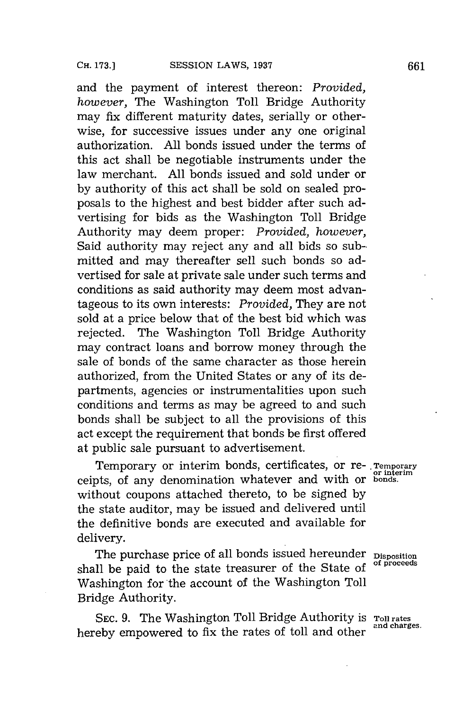and the payment of interest thereon: *Provided, however,* The Washington Toll Bridge Authority may *fix* different maturity dates, serially or otherwise, for successive issues under any one original authorization. **All** bonds issued under the terms of this act shall be negotiable instruments under the law merchant. **All** bonds issued and sold under or **by** authority of this act shall be sold on sealed proposals to the highest and best bidder after such advertising for bids as the Washington Toll Bridge Authority may deem proper: *Provided, however,* Said authority may reject any and all bids so submitted and may thereafter sell such bonds so advertised for sale at private sale under such terms and conditions as said authority may deem most advantageous to its own interests: *Provided,* They are not sold at a price below that of the best bid which was rejected. The Washington Toll Bridge Authority may contract loans and borrow money through the sale of bonds of the same character as those herein authorized, from the United States or any of its departments, agencies or instrumentalities upon such conditions and terms as may be agreed to and such bonds shall be subject to all the provisions of this act except the requirement that bonds be first offered at public sale pursuant to advertisement.

Temporary or interim bonds, certificates, or **re-.Temporary or interim** ceipts, of any denomination whatever and with or **bonds.** without coupons attached thereto, to be signed **by** the state auditor, may be issued and delivered until the definitive bonds are executed and available for delivery.

The purchase price of all bonds issued hereunder **Disposition**<br>  $\mathbf{C} = \mathbf{C} \mathbf{C} + \mathbf{D} \mathbf{C} \mathbf{C} \mathbf{C} + \mathbf{D} \mathbf{C} \mathbf{C} \mathbf{C} \mathbf{C}$ shall be paid to the state treasurer of the State of Washington for the account of the Washington Toll Bridge Authority.

SEC. 9. The Washington Toll Bridge Authority is **Toll rates** hereby empowered to fix the rates of toll and other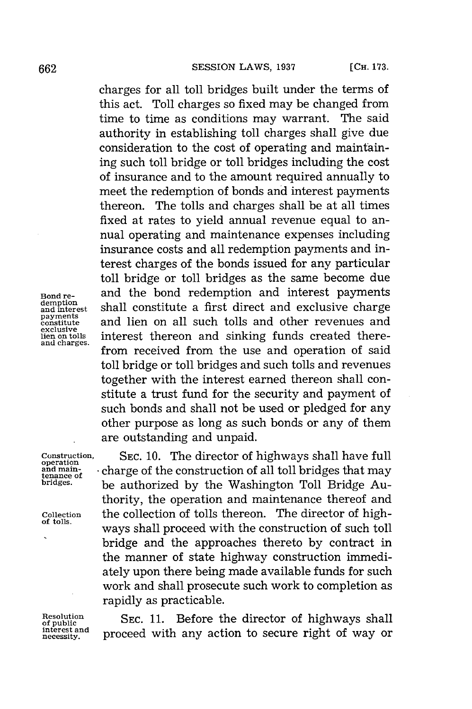charges for all toll bridges built under the terms of this act. Toll charges so fixed may be changed from time to time as conditions may warrant. The said authority in establishing toll charges shall give due consideration to the cost of operating and maintaining such toll bridge or toll bridges including the cost of insurance and to the amount required annually to meet the redemption of bonds and interest payments thereon. The tolls and charges shall be at all times fixed at rates to yield annual revenue equal to annual operating and maintenance expenses including insurance costs and all redemption payments and interest charges of the bonds issued for any particular toll bridge or toll bridges as the same become due **Bond re-** and the bond redemption and interest payments demption<br>and interest shall constitute a first direct and exclusive charge<br>
<u>payments</u> and lien on all such tolls and other revenues and payments<br>constitute and lien on all such tolls and other revenues and<br>exclusive<br>lien<sub>on tolls</sub> interest thereon and sinking funds created thereexclusive<br>lien on tolls interest thereon and sinking funds created there-<br>and charges. from received from the use and operation of said toll bridge or toll bridges and such tolls and revenues together with the interest earned thereon shall constitute a trust fund for the security and payment of such bonds and shall not be used or pledged for any other purpose as long as such bonds or any of them are outstanding and unpaid.

**Construction, SEC. 10.** The director of highways shall have full **operation and main-** charge of the construction of all toll bridges that may tenance of the construction of all toll bridges that may bridge a luck that the Washington Toll Bridge Au be authorized by the Washington Toll Bridge Authority, the operation and maintenance thereof and **Collection** the collection of tolls thereon. The director of high- **of tolls.** ways shall proceed with the construction of such toll bridge and the approaches thereto **by** contract in the manner of state highway construction immediately upon there being made available funds for such work and shall prosecute such work to completion as rapidly as practicable.

Resolution SEC. 11. Before the director of highways shall<br>of public and **proceed with ony action** to sequipe right of way on of public<br>interest and **proceed** with any action to secure right of way of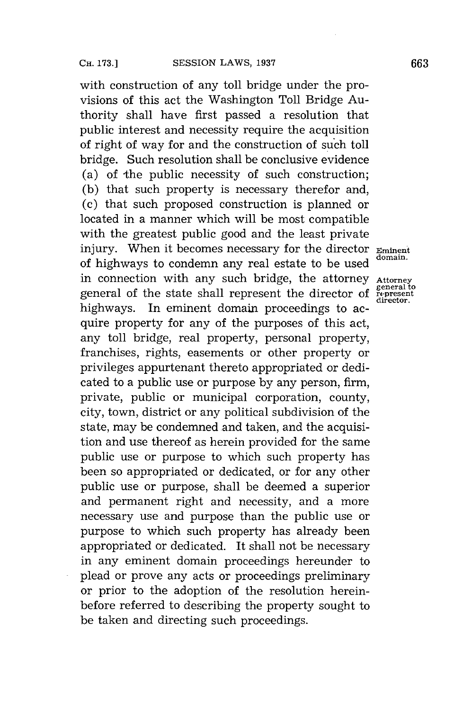with construction of any toll bridge under the provisions of this act the Washington Toll Bridge Authority shall have first passed a resolution that public interest and necessity require the acquisition of right of way for and the construction of such toll bridge. Such resolution shall be conclusive evidence (a) of the public necessity of such construction; **(b)** that such property is necessary therefor and, (c) that such proposed construction is planned or located in a manner which will be most compatible with the greatest public good and the least private injury. When it becomes necessary for the director **Eminent** of highways to condemn any real estate to be used in connection with any such bridge, the attorney Attorney<br>general of the state shall represent the director of represent general of the state shall represent the director of highways. In eminent domain proceedings to acquire property for any of the purposes of this act, any toll bridge, real property, personal property, franchises, rights, easements or other property or privileges appurtenant thereto appropriated or dedicated to a public use or purpose **by** any person, firm, private, public or municipal corporation, county, city, town, district or any political subdivision of the state, may be condemned and taken, and the acquisition and use thereof as herein provided for the same public use or purpose to which such property has been so appropriated or dedicated, or for any other public use or purpose, shall be deemed a superior and permanent right and necessity, and a more necessary use and purpose than the public use or purpose to which such property has already been appropriated or dedicated. It shall not be necessary in any eminent domain proceedings hereunder to plead or prove any acts or proceedings preliminary or prior to the adoption of the resolution hereinbefore referred to describing the property sought to be taken and directing such proceedings.

**director.**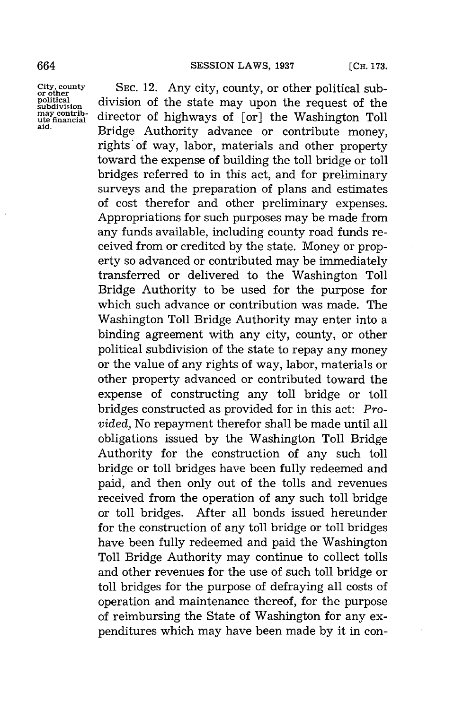may contrib-<br>ute financial

City, county SEC. 12. Any city, county, or other political sub-<br>
political division of the state may upon the request of the **soition** division of the state may upon the request of the may contrib-<br>the financial director of highways of [or] the Washington Toll Bridge Authority advance or contribute money, rights of way, labor, materials and other property toward the expense of building the toll bridge or toll bridges referred to in this act, and for preliminary surveys and the preparation of plans and estimates of cost therefor and other preliminary expenses. Appropriations for such purposes may be made from any funds available, including county road funds received from or credited **by** the state. Money or property so advanced or contributed may be immediately transferred or delivered to the Washington Toll Bridge Authority to be used for the purpose for which such advance or contribution was made. The Washington Toll Bridge Authority may enter into a binding agreement with any city, county, or other political subdivision of the state to repay any money or the value of any rights of way, labor, materials or other property advanced or contributed toward the expense of constructing any toll bridge or toll bridges constructed as provided for in this act: *Provided,* No repayment therefor shall be made until all obligations issued **by** the Washington Toll Bridge Authority for the construction of any such toll bridge or toll bridges have been fully redeemed and paid, and then only out of the tolls and revenues received from the operation of any such toll bridge or toll bridges. After all bonds issued hereunder for the construction of any toll bridge or toll bridges have been fully redeemed and paid the Washington Toll Bridge Authority may continue to collect tolls and other revenues for the use of such toll bridge or toll bridges for the purpose of defraying all costs of operation and maintenance thereof, for the purpose of reimbursing the State of Washington for any expenditures which may have been made **by** it in con-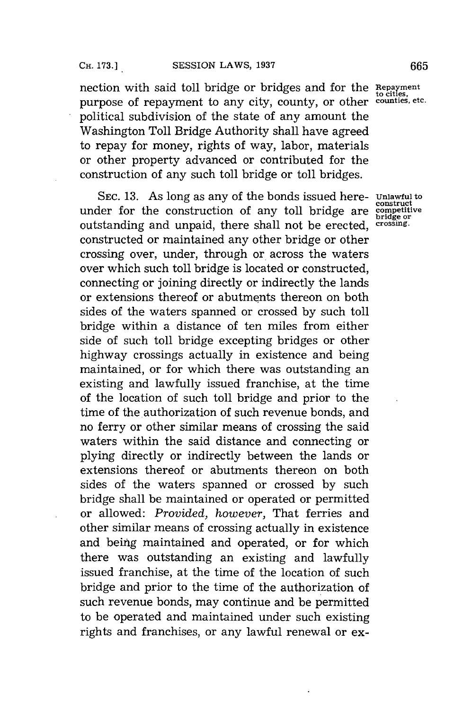nection with said toll bridge or bridges and for the Repaymen purpose of repayment to any city, county, or other *counties*, etc. political subdivision of the state of any amount the Washington Toll Bridge Authority shall have agreed to repay for money, rights of way, labor, materials or other property advanced or contributed for the construction of any such toll bridge or toll bridges.

SEC. 13. As long as any of the bonds issued here- **Unlawful to**under for the construction of any toll bridge are **competitive**<sub>construction</sub> outstanding and unpaid, there shall not be erected, **crossing.** constructed or maintained any other bridge or other crossing over, under, through or across the waters over which such toll bridge is located or constructed, connecting or joining directly or indirectly the lands or extensions thereof or abutments thereon on both sides of the waters spanned or crossed **by** such toll bridge within a distance of ten miles from either side of such toll bridge excepting bridges or other highway crossings actually in existence and being maintained, or for which there was outstanding an existing and lawfully issued franchise, at the time of the location of such toll bridge and prior to the time of the authorization of such revenue bonds, and no ferry or other similar means of crossing the said waters within the said distance and connecting or plying directly or indirectly between the lands or extensions thereof or abutments thereon on both sides of the waters spanned or crossed **by** such bridge shall be maintained or operated or permitted or allowed: *Provided, however,* That ferries and other similar means of crossing actually in existence and being maintained and operated, or for which there was outstanding an existing and lawfully issued franchise, at the time of the location of such bridge and prior to the time of the authorization of such revenue bonds, may continue and be permitted to be operated and maintained under such existing rights and franchises, or any lawful renewal or ex-

**bridge or**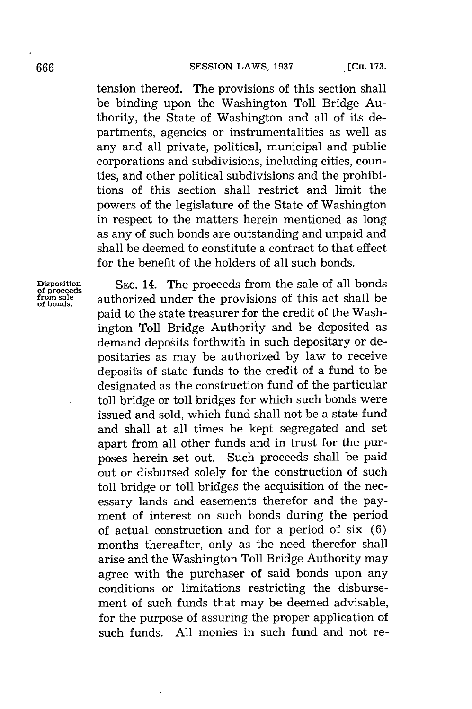tension thereof. The provisions of this section shall be binding upon the Washington Toll Bridge Authority, the State of Washington and all of its departments, agencies or instrumentalities as well as any and all private, political, municipal and public corporations and subdivisions, including cities, counties, and other political subdivisions and the prohibitions of this section shall restrict and limit the powers of the legislature of the State of Washington in respect to the matters herein mentioned as long as any of such bonds are outstanding and unpaid and shall be deemed to constitute a contract to that effect for the benefit of the holders of all such bonds.

**Disposition SEC.** 14. The proceeds from the sale of all bonds **of proceeds fom se** authorized under the provisions of this act shall be paid to the state treasurer for the credit of the Washington Toll Bridge Authority and be deposited as demand deposits forthwith in such depositary or depositaries as may be authorized **by** law to receive deposits of state funds to the credit of a fund to be designated as the construction fund of the particular toll bridge or toll bridges for which such bonds were issued and sold, which fund shall not be a state fund and shall at all times be kept segregated and set apart from all other funds and in trust for the purposes herein set out. Such proceeds shall be paid out or disbursed solely for the construction of such toll bridge or toll bridges the acquisition of the necessary lands and easements therefor and the payment of interest on such bonds during the period of actual construction and for a period of six **(6)** months thereafter, only as the need therefor shall arise and the Washington Toll Bridge Authority may agree with the purchaser of said bonds upon any conditions or limitations restricting the disbursement of such funds that may be deemed advisable, for the purpose of assuring the proper application of such funds. **All** monies in such fund and not re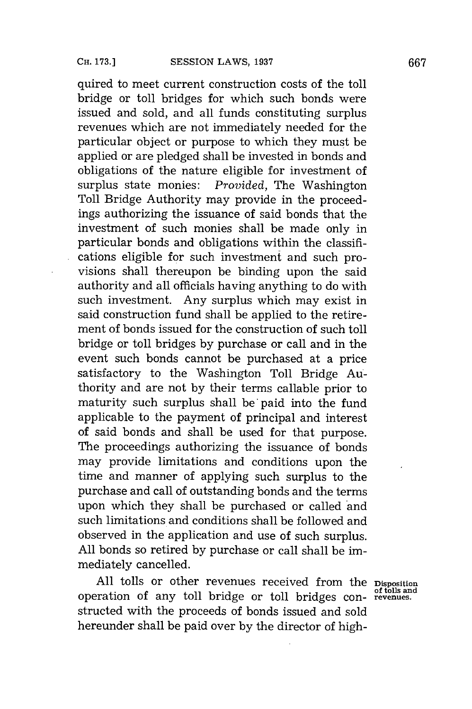quired to meet current construction costs of the toll bridge or toll bridges for which such bonds were issued and sold, and all funds constituting surplus revenues which are not immediately needed for the particular object or purpose to which they must be applied or are pledged shall be invested in bonds and obligations of the nature eligible for investment of surplus state monies: *Provided,* The Washington Toll Bridge Authority may provide in the proceedings authorizing the issuance of said bonds that the investment of such monies shall be made only in particular bonds and obligations within the classifications eligible for such investment and such provisions shall thereupon be binding upon the said authority and all officials having anything to do with such investment. Any surplus which may exist in said construction fund shall be applied to the retirement of bonds issued for the construction of such toll bridge or toll bridges **by** purchase or call and in the event such bonds cannot be purchased at a price satisfactory to the Washington Toll Bridge Authority and are not **by** their terms callable prior to maturity such surplus shall be paid into the fund applicable to the payment of principal and interest of said bonds and shall be used for that purpose. The proceedings authorizing the issuance of bonds may provide limitations and conditions upon the time and manner of applying such surplus to the purchase and call of outstanding bonds and the terms upon which they shall be purchased or called and such limitations and conditions shall be followed and observed in the application and use of such surplus. **All** bonds so retired **by** purchase or call shall be immediately cancelled.

**All** tolls or other revenues received from the **Disposition of tolls and** operation of any toll bridge or toll bridges con- **revenues.** structed with the proceeds of bonds issued and sold hereunder shall be paid over **by** the director of high-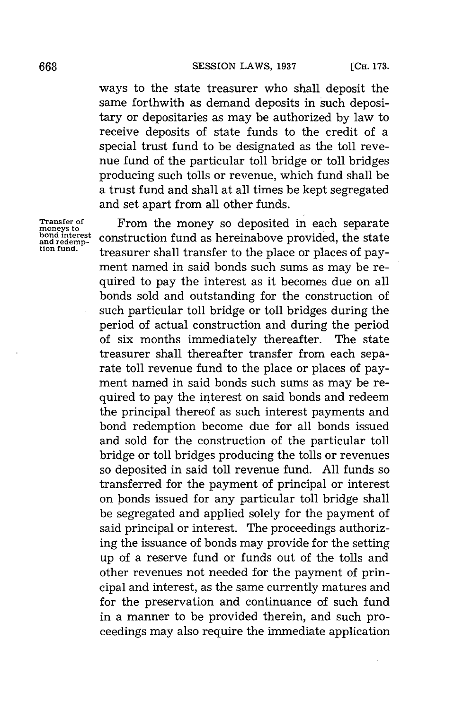ways to the state treasurer who shall deposit the same forthwith as demand deposits in such depositary or depositaries as may be authorized **by** law to receive deposits of state funds to the credit of a special trust fund to be designated as the toll revenue fund of the particular toll bridge or toll bridges producing such tolls or revenue, which fund shall be a trust fund and shall at all times be kept segregated and set apart from all other funds.

**Transfer of** From the money so deposited in each separate **moneys to** bond interest<br>and redemption fund as hereinabove provided, the state<br>tion fund. treasurer shall transfer to the place or places of payment named in said bonds such sums as may be required to pay the interest as it becomes due on all bonds sold and outstanding for the construction of such particular toll bridge or toll bridges during the period of actual construction and during the period of six months immediately thereafter. The state treasurer shall thereafter transfer from each separate toll revenue fund to the place or places of payment named in said bonds such sums as may be required to pay the interest on said bonds and redeem the principal thereof as such interest payments and bond redemption become due for all bonds issued and sold for the construction of the particular toll bridge or toll bridges producing the tolls or revenues so deposited in said toll revenue fund. **All** funds so transferred for the payment of principal or interest on bonds issued for any particular toll bridge shall be segregated and applied solely for the payment of said principal or interest. The proceedings authorizing the issuance of bonds may provide for the setting up of a reserve fund or funds out of the tolls and other revenues not needed for the payment of principal and interest, as the same currently matures and for the preservation and continuance of such fund in a manner to be provided therein, and such proceedings may also require the immediate application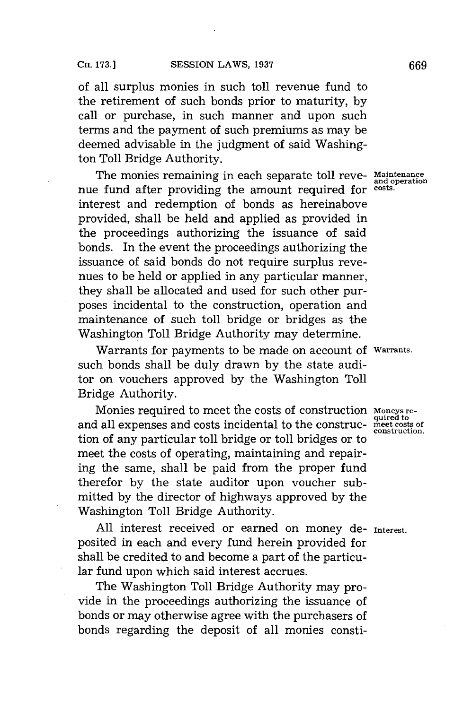of all surplus monies in such toll revenue fund to the retirement of such bonds prior to maturity, **by** call or purchase, in such manner and upon such terms and the payment of such premiums as may be deemed advisable in the judgment of said Washington Toll Bridge Authority.

The monies remaining in each separate toll reve- **Maintenance** nue fund after providing the amount required for **costs.** interest and redemption of bonds as hereinabove provided, shall be held and applied as provided in the proceedings authorizing the issuance of said bonds. In the event the proceedings authorizing the issuance of said bonds do not require surplus revenues to be held or applied in any particular manner, they shall be allocated and used for such other purposes incidental to the construction, operation and maintenance of such toll bridge or bridges as the Washington Toll Bridge Authority may determine.

Warrants for payments to be made on account of **Warrants.** such bonds shall be duly drawn **by** the state auditor on vouchers approved **by** the Washington Toll Bridge Authority.

Monies required to meet the costs of construction **Moneys re-** and all expenses and costs incidental to the construc- meet costs tion of any particular toll bridge or toll bridges or to meet the costs of operating, maintaining and repairing the same, shall be paid from the proper fund therefor **by** the state auditor upon voucher submitted **by** the director of highways approved **by** the Washington Toll Bridge Authority.

**All** interest received or earned on money de- **Interest.** posited in each and every fund herein provided for shall be credited to and become a part of the particular fund upon which said interest accrues.

The Washington Toll Bridge Authority may provide in the proceedings authorizing the issuance of bonds or may otherwise agree with the purchasers of bonds regarding the deposit of all monies consti-

**construction.**

**and operation**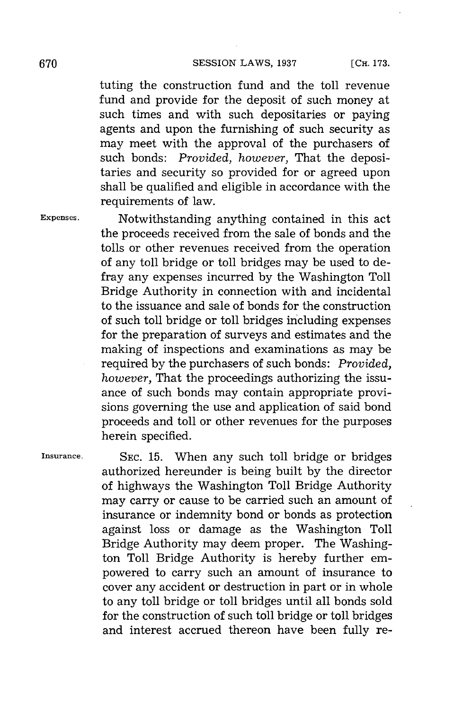tuting the construction fund and the toll revenue fund and provide for the deposit of such money at such times and with such depositaries or paying agents and upon the furnishing of such security as may meet with the approval of the purchasers of such bonds: *Provided, however,* That the depositaries and security so provided for or agreed upon shall be qualified and eligible in accordance with the requirements of law.

**Expenses.** Notwithstanding anything contained in this act the proceeds received from the sale of bonds and the tolls or other revenues received from the operation of any toll bridge or toll bridges may be used to defray any expenses incurred **by** the Washington Toll Bridge Authority in connection with and incidental to the issuance and sale of bonds for the construction of such toll bridge or toll bridges including expenses for the preparation of surveys and estimates and the making of inspections and examinations as may be required **by** the purchasers of such bonds: *Provided, however,* That the proceedings authorizing the issuance of such bonds may contain appropriate provisions governing the use and application of said bond proceeds and toll or other revenues for the purposes herein specified.

**Insurance. SEC. 15.** When any such toll bridge or bridges authorized hereunder is being built **by** the director of highways the Washington Toll Bridge Authority may carry or cause to be carried such an amount of insurance or indemnity bond or bonds as protection against loss or damage as the Washington Toll Bridge Authority may deem proper. The Washington Toll Bridge Authority is hereby further empowered to carry such an amount of insurance to cover any accident or destruction in part or in whole to any toll bridge or toll bridges until all bonds sold for the construction of such toll bridge or toll bridges and interest accrued thereon have been fully re-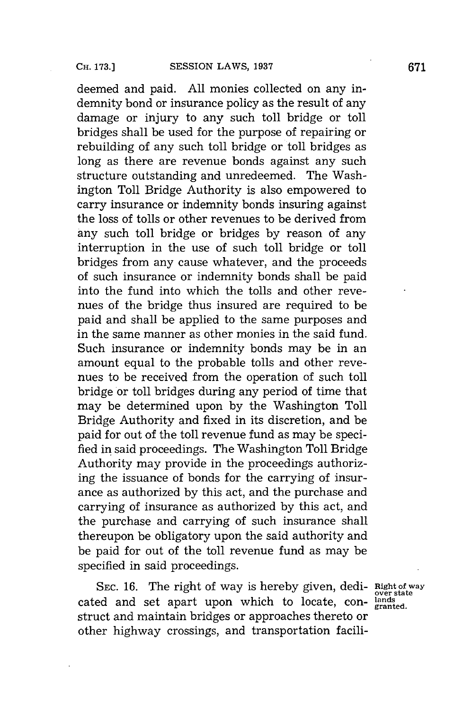deemed and paid. **All** monies collected on any indemnity bond or insurance policy as the result of any damage or injury to any such toll bridge or toll bridges shall be used for the purpose of repairing or rebuilding of any such toll bridge or toll bridges as long as there are revenue bonds against any such structure outstanding and unredeemed. The Washington Toll Bridge Authority is also empowered to carry insurance or indemnity bonds insuring against the loss of tolls or other revenues to be derived from any such toll bridge or bridges **by** reason of any interruption in the use of such toll bridge or toll bridges from any cause whatever, and the proceeds of such insurance or indemnity bonds shall be paid into the fund into which the tolls and other revenues of the bridge thus insured are required to be paid and shall be applied to the same purposes and in the same manner as other monies in the said fund. Such insurance or indemnity bonds may be in an amount equal to the probable tolls and other revenues to be received from the operation of such toll bridge or toll bridges during any period of time that may be determined upon **by** the Washington Toll Bridge Authority and fixed in its discretion, and be paid for out of the toll revenue fund as may be specified in said proceedings. The Washington Toll Bridge Authority may provide in the proceedings authorizing the issuance of bonds for the carrying of insurance as authorized **by** this act, and the purchase and carrying of insurance as authorized **by** this act, and the purchase and carrying of such insurance shall thereupon be obligatory upon the said authority and be paid for out of the toll revenue fund as may be specified in said proceedings.

SEC. 16. The right of way is hereby given, dedi- **Right of way** cated and set apart upon which to locate, con- **lands granted.** struct and maintain bridges or approaches thereto or other highway crossings, and transportation facili-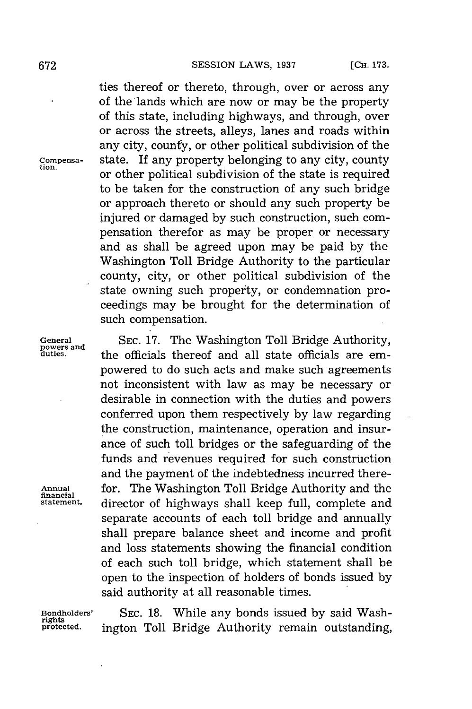ties thereof or thereto, through, over or across any of the lands which are now or may be the property of this state, including highways, and through, over or across the streets, alleys, lanes and roads within any city, county, or other political subdivision of the **Compensa-** state. If any property belonging to any city, county or other political subdivision of the state is required to be taken for the construction of any such bridge or approach thereto or should any such property be injured or damaged **by** such construction, such compensation therefor as may be proper or necessary and as shall be agreed upon may be paid **by** the Washington Toll Bridge Authority to the particular county, city, or other political subdivision of the state owning such property, or condemnation proceedings may be brought for the determination of such compensation.

General SEC. 17. The Washington Toll Bridge Authority, powers and the officials thereof and all state officials are emthe officials thereof and all state officials are empowered to do such acts and make such agreements not inconsistent with law as may be necessary or desirable in connection with the duties and powers conferred upon them respectively **by** law regarding the construction, maintenance, operation and insurance of such toll bridges or the safeguarding of the funds and revenues required for such construction and the payment of the indebtedness incurred there-**Anual** for. The Washington Toll Bridge Authority and the financial **statement.** director of highways shall keep full, complete and separate accounts of each toll bridge and annually shall prepare balance sheet and income and profit and loss statements showing the financial condition of each such toll bridge, which statement shall be open to the inspection of holders of bonds issued **by** said authority at all reasonable times.

**Bondholders' SEC. 18.** While any bonds issued **by** said Washington Toll Bridge Authority remain outstanding,

**rights**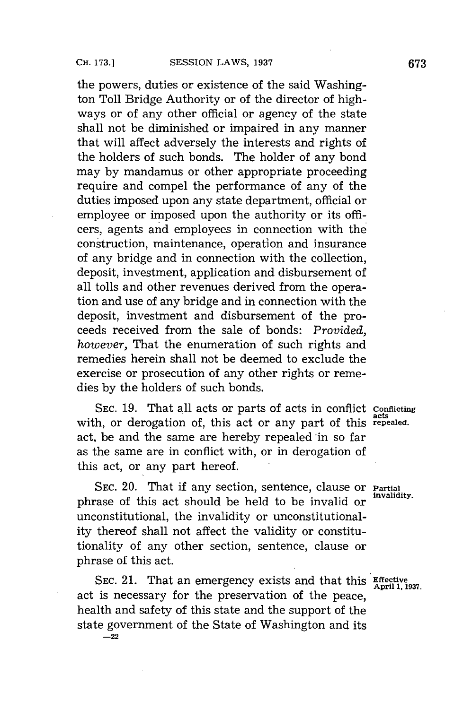the powers, duties or existence of the said Washington Toll Bridge Authority or of the director of highways or of any other official or agency of the state shall not be diminished or impaired in any manner that will affect adversely the interests and rights of the holders of such bonds. The holder of any bond may **by** mandamus or other appropriate proceeding require and compel the performance of any of the duties imposed upon any state department, official or employee or imposed upon the authority or its officers, agents and employees in connection with the construction, maintenance, operation and insurance of any bridge and in connection with the collection, deposit, investment, application and disbursement of all tolls and other revenues derived from the operation and use of any bridge and in connection with the deposit, investment and disbursement of the proceeds received from the sale of bonds: *Provided, however,* That the enumeration of such rights and remedies herein shall not be deemed to exclude the exercise or prosecution of any other rights or remedies **by** the holders of such bonds.

**SEC. 19.** That **all** acts or parts of acts in conflict **conifeting** with, or derogation of, this act or any part of this repealed. act, be and the same are hereby repealed in so far as the same are in conflict with, or in derogation of this act, or any part hereof.

**SEC.** 20. That if any section, sentence, clause or **Partial** phrase of this act should be held to be invalid or unconstitutional, the invalidity or unconstitutionality thereof shall not affect the validity or constitutionality of any other section, sentence, clause or phrase of this act.

SEC. 21. That an emergency exists and that this **Effective** April 1, 1937. act is necessary for the preservation of the peace, health and safety of this state and the support of the state government of the State of Washington and its

**-22**